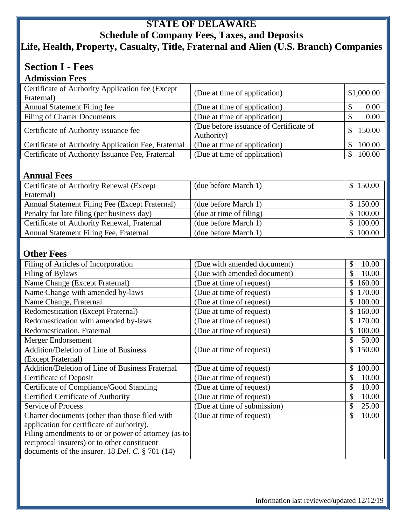## **STATE OF DELAWARE Schedule of Company Fees, Taxes, and Deposits Life, Health, Property, Casualty, Title, Fraternal and Alien (U.S. Branch) Companies**

# **Section I - Fees**

| <b>Admission Fees</b>                               |                                        |            |
|-----------------------------------------------------|----------------------------------------|------------|
| Certificate of Authority Application fee (Except)   | (Due at time of application)           | \$1,000.00 |
| Fraternal)                                          |                                        |            |
| <b>Annual Statement Filing fee</b>                  | (Due at time of application)           | 0.00       |
| <b>Filing of Charter Documents</b>                  | (Due at time of application)           | 0.00       |
| Certificate of Authority issuance fee               | (Due before issuance of Certificate of | 150.00     |
|                                                     | Authority)                             |            |
| Certificate of Authority Application Fee, Fraternal | (Due at time of application)           | 100.00     |
| Certificate of Authority Issuance Fee, Fraternal    | (Due at time of application)           | 100.00     |
|                                                     |                                        |            |

### **Annual Fees**

| Certificate of Authority Renewal (Except)      | (due before March 1)    | \$150.00 |
|------------------------------------------------|-------------------------|----------|
| Fraternal)                                     |                         |          |
| Annual Statement Filing Fee (Except Fraternal) | (due before March 1)    | \$150.00 |
| Penalty for late filing (per business day)     | (due at time of filing) | \$100.00 |
| Certificate of Authority Renewal, Fraternal    | (due before March 1)    | \$100.00 |
| Annual Statement Filing Fee, Fraternal         | (due before March 1)    | \$100.00 |
|                                                |                         |          |

### **Other Fees**

| Filing of Articles of Incorporation                    | (Due with amended document) | 10.00<br>\$  |
|--------------------------------------------------------|-----------------------------|--------------|
| Filing of Bylaws                                       | (Due with amended document) | 10.00<br>\$  |
| Name Change (Except Fraternal)                         | (Due at time of request)    | 160.00       |
| Name Change with amended by-laws                       | (Due at time of request)    | 170.00<br>S  |
| Name Change, Fraternal                                 | (Due at time of request)    | 100.00       |
| <b>Redomestication (Except Fraternal)</b>              | (Due at time of request)    | 160.00       |
| Redomestication with amended by-laws                   | (Due at time of request)    | 170.00       |
| Redomestication, Fraternal                             | (Due at time of request)    | 100.00<br>\$ |
| Merger Endorsement                                     |                             | 50.00        |
| <b>Addition/Deletion of Line of Business</b>           | (Due at time of request)    | 150.00<br>S  |
| (Except Fraternal)                                     |                             |              |
| <b>Addition/Deletion of Line of Business Fraternal</b> | (Due at time of request)    | 100.00<br>\$ |
| <b>Certificate of Deposit</b>                          | (Due at time of request)    | 10.00        |
| Certificate of Compliance/Good Standing                | (Due at time of request)    | 10.00<br>\$  |
| <b>Certified Certificate of Authority</b>              | (Due at time of request)    | 10.00        |
| <b>Service of Process</b>                              | (Due at time of submission) | 25.00<br>\$  |
| Charter documents (other than those filed with         | (Due at time of request)    | \$<br>10.00  |
| application for certificate of authority).             |                             |              |
| Filing amendments to or or power of attorney (as to    |                             |              |
| reciprocal insurers) or to other constituent           |                             |              |
| documents of the insurer. 18 Del. C. $\S$ 701 (14)     |                             |              |